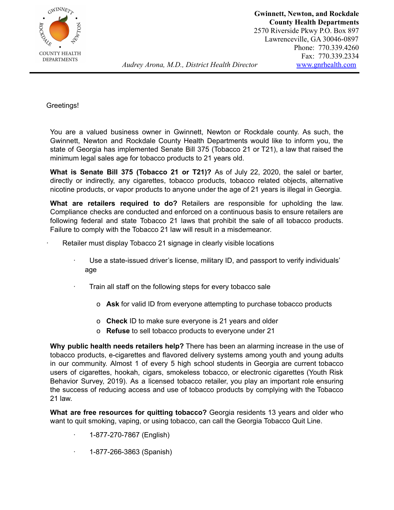

## Greetings!

You are a valued business owner in Gwinnett, Newton or Rockdale county. As such, the Gwinnett, Newton and Rockdale County Health Departments would like to inform you, the state of Georgia has implemented Senate Bill 375 (Tobacco 21 or T21), a law that raised the minimum legal sales age for tobacco products to 21 years old.

**What is Senate Bill 375 (Tobacco 21 or T21)?** As of July 22, 2020, the salel or barter, directly or indirectly, any cigarettes, tobacco products, tobacco related objects, alternative nicotine products, or vapor products to anyone under the age of 21 years is illegal in Georgia.

**What are retailers required to do?** Retailers are responsible for upholding the law. Compliance checks are conducted and enforced on a continuous basis to ensure retailers are following federal and state Tobacco 21 laws that prohibit the sale of all tobacco products. Failure to comply with the Tobacco 21 law will result in a misdemeanor.

- Retailer must display Tobacco 21 signage in clearly visible locations
	- · Use a state-issued driver's license, military ID, and passport to verify individuals' age
	- Train all staff on the following steps for every tobacco sale
		- o **Ask** for valid ID from everyone attempting to purchase tobacco products
		- o **Check** ID to make sure everyone is 21 years and older
		- o **Refuse** to sell tobacco products to everyone under 21

**Why public health needs retailers help?** There has been an alarming increase in the use of tobacco products, e-cigarettes and flavored delivery systems among youth and young adults in our community. Almost 1 of every 5 high school students in Georgia are current tobacco users of cigarettes, hookah, cigars, smokeless tobacco, or electronic cigarettes (Youth Risk Behavior Survey, 2019). As a licensed tobacco retailer, you play an important role ensuring the success of reducing access and use of tobacco products by complying with the Tobacco 21 law.

**What are free resources for quitting tobacco?** Georgia residents 13 years and older who want to quit smoking, vaping, or using tobacco, can call the Georgia Tobacco Quit Line.

- · 1-877-270-7867 (English)
- · 1-877-266-3863 (Spanish)